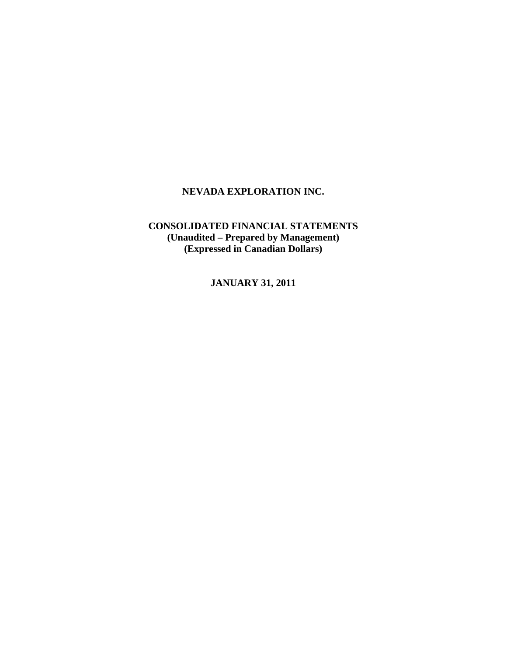# **CONSOLIDATED FINANCIAL STATEMENTS (Unaudited – Prepared by Management) (Expressed in Canadian Dollars)**

**JANUARY 31, 2011**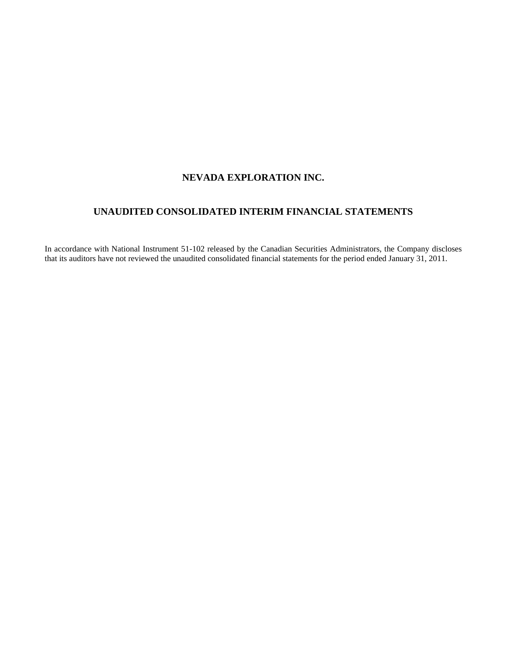# **UNAUDITED CONSOLIDATED INTERIM FINANCIAL STATEMENTS**

In accordance with National Instrument 51-102 released by the Canadian Securities Administrators, the Company discloses that its auditors have not reviewed the unaudited consolidated financial statements for the period ended January 31, 2011.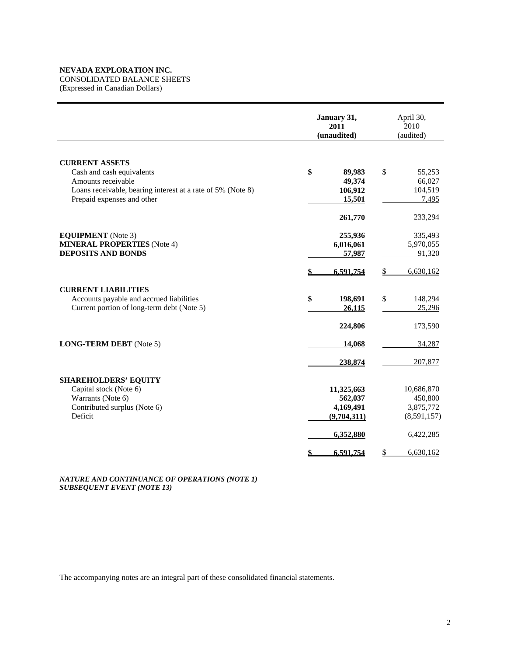CONSOLIDATED BALANCE SHEETS

(Expressed in Canadian Dollars)

|                                                                                                                                                                       | January 31,<br>2011<br>(unaudited)                             | April 30,<br>2010<br>(audited)                                 |  |  |
|-----------------------------------------------------------------------------------------------------------------------------------------------------------------------|----------------------------------------------------------------|----------------------------------------------------------------|--|--|
| <b>CURRENT ASSETS</b><br>Cash and cash equivalents<br>Amounts receivable<br>Loans receivable, bearing interest at a rate of 5% (Note 8)<br>Prepaid expenses and other | \$<br>89,983<br>49,374<br>106,912<br>15,501                    | \$<br>55,253<br>66,027<br>104,519<br>7,495                     |  |  |
| <b>EQUIPMENT</b> (Note 3)<br><b>MINERAL PROPERTIES</b> (Note 4)<br><b>DEPOSITS AND BONDS</b>                                                                          | 261,770<br>255,936<br>6,016,061<br>57,987                      | 233,294<br>335,493<br>5,970,055<br>91,320                      |  |  |
| <b>CURRENT LIABILITIES</b><br>Accounts payable and accrued liabilities<br>Current portion of long-term debt (Note 5)                                                  | 6,591,754<br>\$<br>198,691<br>26,115                           | 6,630,162<br>\$<br>\$<br>148,294<br>25,296                     |  |  |
| <b>LONG-TERM DEBT</b> (Note 5)                                                                                                                                        | 224,806<br>14,068<br>238,874                                   | 173,590<br>34,287<br>207,877                                   |  |  |
| <b>SHAREHOLDERS' EQUITY</b><br>Capital stock (Note 6)<br>Warrants (Note 6)<br>Contributed surplus (Note 6)<br>Deficit                                                 | 11,325,663<br>562,037<br>4,169,491<br>(9,704,311)<br>6,352,880 | 10,686,870<br>450,800<br>3,875,772<br>(8,591,157)<br>6,422,285 |  |  |
|                                                                                                                                                                       | 6,591,754<br>\$                                                | 6,630,162<br>\$                                                |  |  |

*NATURE AND CONTINUANCE OF OPERATIONS (NOTE 1) SUBSEQUENT EVENT (NOTE 13)* 

The accompanying notes are an integral part of these consolidated financial statements.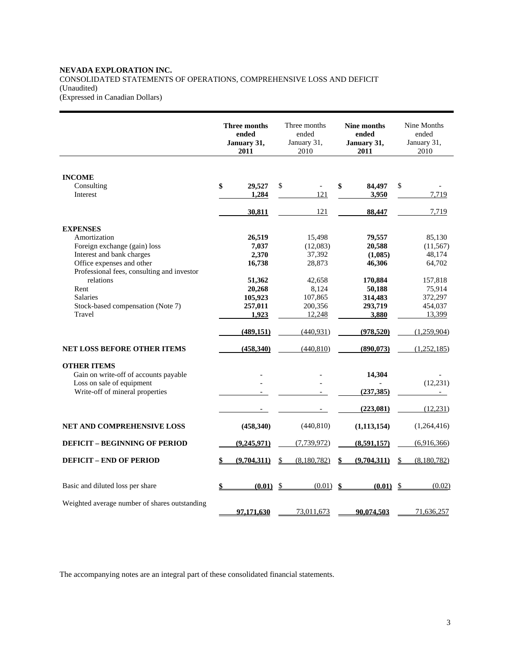#### **NEVADA EXPLORATION INC.**  CONSOLIDATED STATEMENTS OF OPERATIONS, COMPREHENSIVE LOSS AND DEFICIT (Unaudited) (Expressed in Canadian Dollars)

**Three months ended January 31, 2011**  Three months ended January 31, 2010 **Nine months ended January 31, 2011**  Nine Months ended January 31, 2010 **INCOME**  Consulting **\$ 29,527** \$ - **\$ 84,497** \$ - Interest **1,284** 1,284 3,950 7,719 **121 88,447** 7,719 **EXPENSES** Amortization **26,519** 15,498 **79,557** 85,130 Foreign exchange (gain) loss **7,037** (12,083) **20,588** (11,567)<br>Interest and bank charges **2,370** 37,392 (1,085) 48,174 Interest and bank charges Office expenses and other **16,738** 28,873 **46,306** 64,702 Professional fees, consulting and investor relations **51,362** 42,658 **170,884** 157,818 Rent **20,268** 8,124 **50,188** 75,914 Salaries **105,923** 107,865 **314,483** 372,297 Stock-based compensation (Note 7) **257,011 200,356 293,719 454,037 1 200,356 293,719 454,037 11,923 12,248 293,719 454,037** Travel **1,923** 12,248 **3,880** 13,399  **(489,151)** (440,931) **(978,520)** (1,259,904) **NET LOSS BEFORE OTHER ITEMS** (458,340) (440,810) (890,073) (1,252,185) **OTHER ITEMS**  Gain on write-off of accounts payable **a 14,304 discriming the set of accounts payable discriming the set of the set of the set of the set of the set of the set of the set of the set of the set of the set of the set** Loss on sale of equipment  $(12,231)$ <br>Write-off of mineral properties  $(237,385)$   $(237,385)$   $(12,231)$ Write-off of mineral properties  $(223,081)$   $(12,231)$ **NET AND COMPREHENSIVE LOSS** (458,340) (440,810) (1,113,154) (1,264,416) **DEFICIT – BEGINNING OF PERIOD** (9,245,971) (7,739,972) (8,591,157) (6,916,366) **DEFICIT – END OF PERIOD \$ (9,704,311)** \$ (8,180,782) **\$ (9,704,311)** \$ (8,180,782) Basic and diluted loss per share **\$ (0.01)** \$ (0.01) **\$ (0.01)** \$ (0.02) Weighted average number of shares outstanding **97,171,630** 73,011,673 90,074,503 71,636,257

The accompanying notes are an integral part of these consolidated financial statements.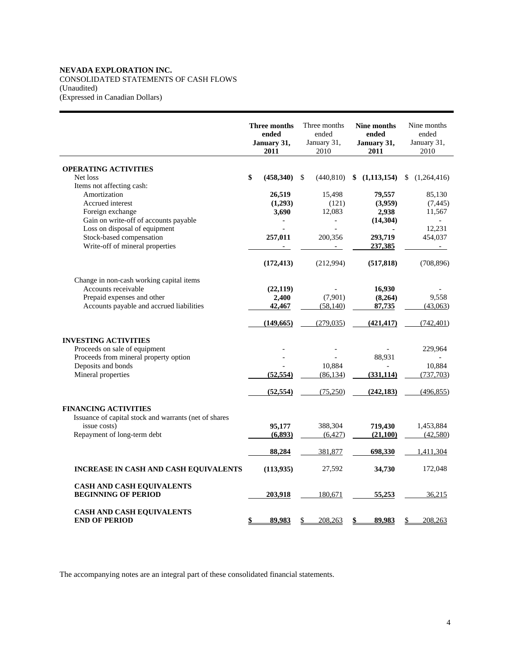## **NEVADA EXPLORATION INC.**  CONSOLIDATED STATEMENTS OF CASH FLOWS (Unaudited) (Expressed in Canadian Dollars)

|                                                                        | Three months<br>ended<br>January 31,<br>2011 | Three months<br>ended<br>January 31,<br>2010 | Nine months<br>ended<br>January 31,<br>2011 | Nine months<br>ended<br>January 31,<br>2010 |
|------------------------------------------------------------------------|----------------------------------------------|----------------------------------------------|---------------------------------------------|---------------------------------------------|
|                                                                        |                                              |                                              |                                             |                                             |
| <b>OPERATING ACTIVITIES</b><br>Net loss                                | \$<br>(458,340)                              | \$<br>(440, 810)                             | (1, 113, 154)<br>\$                         | \$<br>(1,264,416)                           |
| Items not affecting cash:                                              |                                              |                                              |                                             |                                             |
| Amortization                                                           | 26,519                                       | 15,498                                       | 79,557                                      | 85,130                                      |
| Accrued interest                                                       | (1,293)                                      | (121)                                        | (3,959)                                     | (7, 445)                                    |
| Foreign exchange                                                       | 3,690                                        | 12,083                                       | 2,938                                       | 11,567                                      |
| Gain on write-off of accounts payable                                  |                                              | $\overline{\phantom{0}}$                     | (14, 304)                                   |                                             |
| Loss on disposal of equipment                                          |                                              |                                              |                                             | 12,231                                      |
| Stock-based compensation                                               | 257,011                                      | 200,356                                      | 293,719                                     | 454,037                                     |
| Write-off of mineral properties                                        |                                              |                                              | 237,385                                     | $\sim$                                      |
|                                                                        | (172, 413)                                   | (212,994)                                    | (517, 818)                                  | (708, 896)                                  |
| Change in non-cash working capital items                               |                                              |                                              |                                             |                                             |
| Accounts receivable                                                    | (22, 119)                                    |                                              | 16,930                                      |                                             |
| Prepaid expenses and other                                             | 2,400                                        | (7,901)                                      | (8,264)                                     | 9,558                                       |
| Accounts payable and accrued liabilities                               | 42,467                                       | (58, 140)                                    | 87,735                                      | (43,063)                                    |
|                                                                        | (149, 665)                                   | (279, 035)                                   | (421, 417)                                  | (742, 401)                                  |
|                                                                        |                                              |                                              |                                             |                                             |
| <b>INVESTING ACTIVITIES</b>                                            |                                              |                                              |                                             |                                             |
| Proceeds on sale of equipment<br>Proceeds from mineral property option |                                              |                                              | 88,931                                      | 229,964                                     |
| Deposits and bonds                                                     |                                              | 10,884                                       |                                             | 10,884                                      |
| Mineral properties                                                     | (52, 554)                                    | (86, 134)                                    | (331, 114)                                  | (737,703)                                   |
|                                                                        |                                              |                                              |                                             |                                             |
|                                                                        | (52, 554)                                    | (75,250)                                     | (242, 183)                                  | (496, 855)                                  |
| <b>FINANCING ACTIVITIES</b>                                            |                                              |                                              |                                             |                                             |
| Issuance of capital stock and warrants (net of shares                  |                                              |                                              |                                             |                                             |
| issue costs)                                                           | 95,177                                       | 388,304                                      | 719,430                                     | 1,453,884                                   |
| Repayment of long-term debt                                            | (6,893)                                      | (6, 427)                                     | (21,100)                                    | (42,580)                                    |
|                                                                        | 88,284                                       | 381,877                                      | 698,330                                     | 1,411,304                                   |
| <b>INCREASE IN CASH AND CASH EQUIVALENTS</b>                           | (113, 935)                                   | 27,592                                       | 34,730                                      | 172,048                                     |
|                                                                        |                                              |                                              |                                             |                                             |
| <b>CASH AND CASH EQUIVALENTS</b>                                       |                                              |                                              |                                             |                                             |
| <b>BEGINNING OF PERIOD</b>                                             | 203,918                                      | 180,671                                      | 55,253                                      | 36,215                                      |
| <b>CASH AND CASH EQUIVALENTS</b>                                       |                                              |                                              |                                             |                                             |
| <b>END OF PERIOD</b>                                                   | 89,983<br>\$                                 | 208,263<br>\$                                | 89,983<br>\$                                | 208,263<br>\$                               |

The accompanying notes are an integral part of these consolidated financial statements.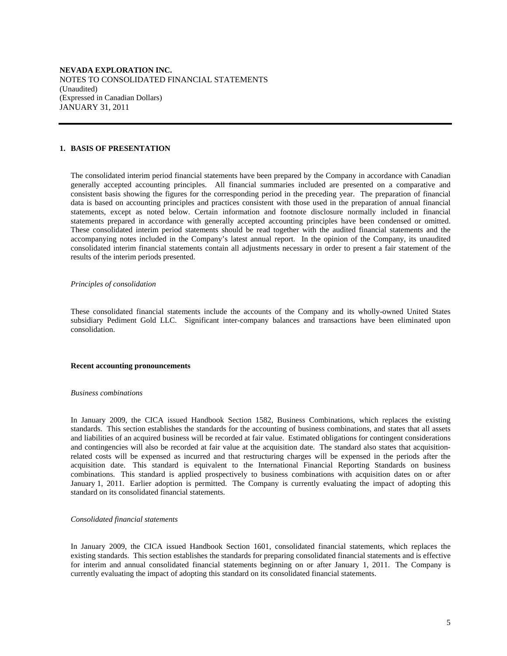**NEVADA EXPLORATION INC.**  NOTES TO CONSOLIDATED FINANCIAL STATEMENTS (Unaudited) (Expressed in Canadian Dollars) JANUARY 31, 2011

#### **1. BASIS OF PRESENTATION**

 The consolidated interim period financial statements have been prepared by the Company in accordance with Canadian generally accepted accounting principles. All financial summaries included are presented on a comparative and consistent basis showing the figures for the corresponding period in the preceding year. The preparation of financial data is based on accounting principles and practices consistent with those used in the preparation of annual financial statements, except as noted below. Certain information and footnote disclosure normally included in financial statements prepared in accordance with generally accepted accounting principles have been condensed or omitted. These consolidated interim period statements should be read together with the audited financial statements and the accompanying notes included in the Company's latest annual report. In the opinion of the Company, its unaudited consolidated interim financial statements contain all adjustments necessary in order to present a fair statement of the results of the interim periods presented.

#### *Principles of consolidation*

 These consolidated financial statements include the accounts of the Company and its wholly-owned United States subsidiary Pediment Gold LLC. Significant inter-company balances and transactions have been eliminated upon consolidation.

#### **Recent accounting pronouncements**

#### *Business combinations*

 In January 2009, the CICA issued Handbook Section 1582, Business Combinations, which replaces the existing standards. This section establishes the standards for the accounting of business combinations, and states that all assets and liabilities of an acquired business will be recorded at fair value. Estimated obligations for contingent considerations and contingencies will also be recorded at fair value at the acquisition date. The standard also states that acquisitionrelated costs will be expensed as incurred and that restructuring charges will be expensed in the periods after the acquisition date. This standard is equivalent to the International Financial Reporting Standards on business combinations. This standard is applied prospectively to business combinations with acquisition dates on or after January 1, 2011. Earlier adoption is permitted. The Company is currently evaluating the impact of adopting this standard on its consolidated financial statements.

#### *Consolidated financial statements*

 In January 2009, the CICA issued Handbook Section 1601, consolidated financial statements, which replaces the existing standards. This section establishes the standards for preparing consolidated financial statements and is effective for interim and annual consolidated financial statements beginning on or after January 1, 2011. The Company is currently evaluating the impact of adopting this standard on its consolidated financial statements.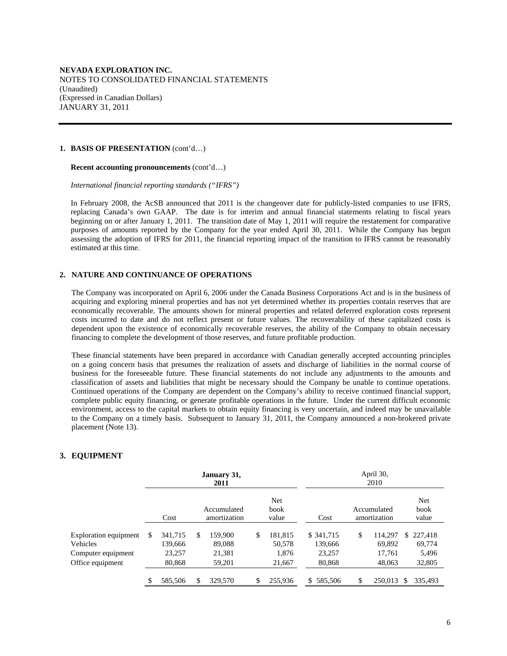#### **1. BASIS OF PRESENTATION** (cont'd…)

#### **Recent accounting pronouncements** (cont'd…)

 *International financial reporting standards ("IFRS")* 

 In February 2008, the AcSB announced that 2011 is the changeover date for publicly-listed companies to use IFRS, replacing Canada's own GAAP. The date is for interim and annual financial statements relating to fiscal years beginning on or after January 1, 2011. The transition date of May 1, 2011 will require the restatement for comparative purposes of amounts reported by the Company for the year ended April 30, 2011. While the Company has begun assessing the adoption of IFRS for 2011, the financial reporting impact of the transition to IFRS cannot be reasonably estimated at this time.

## **2. NATURE AND CONTINUANCE OF OPERATIONS**

The Company was incorporated on April 6, 2006 under the Canada Business Corporations Act and is in the business of acquiring and exploring mineral properties and has not yet determined whether its properties contain reserves that are economically recoverable. The amounts shown for mineral properties and related deferred exploration costs represent costs incurred to date and do not reflect present or future values. The recoverability of these capitalized costs is dependent upon the existence of economically recoverable reserves, the ability of the Company to obtain necessary financing to complete the development of those reserves, and future profitable production.

These financial statements have been prepared in accordance with Canadian generally accepted accounting principles on a going concern basis that presumes the realization of assets and discharge of liabilities in the normal course of business for the foreseeable future. These financial statements do not include any adjustments to the amounts and classification of assets and liabilities that might be necessary should the Company be unable to continue operations. Continued operations of the Company are dependent on the Company's ability to receive continued financial support, complete public equity financing, or generate profitable operations in the future. Under the current difficult economic environment, access to the capital markets to obtain equity financing is very uncertain, and indeed may be unavailable to the Company on a timely basis. Subsequent to January 31, 2011, the Company announced a non-brokered private placement (Note 13).

## **3. EQUIPMENT**

|                                        | January 31,<br>2011 |                    |    |                             |    |                      |     | April 30,<br>2010     |                             |     |                      |
|----------------------------------------|---------------------|--------------------|----|-----------------------------|----|----------------------|-----|-----------------------|-----------------------------|-----|----------------------|
|                                        |                     | Cost               |    | Accumulated<br>amortization |    | Net<br>book<br>value |     | Cost                  | Accumulated<br>amortization |     | Net<br>book<br>value |
| Exploration equipment<br>Vehicles      | \$                  | 341,715<br>139,666 | \$ | 159,900<br>89,088           | \$ | 181,815<br>50,578    |     | \$ 341,715<br>139,666 | \$<br>114.297<br>69.892     |     | \$227,418<br>69.774  |
| Computer equipment<br>Office equipment |                     | 23,257<br>80,868   |    | 21,381<br>59,201            |    | 1,876<br>21,667      |     | 23,257<br>80,868      | 17,761<br>48,063            |     | 5,496<br>32,805      |
|                                        | \$                  | 585,506            | \$ | 329,570                     | \$ | 255,936              | \$. | 585,506               | \$<br>250,013               | \$. | 335.493              |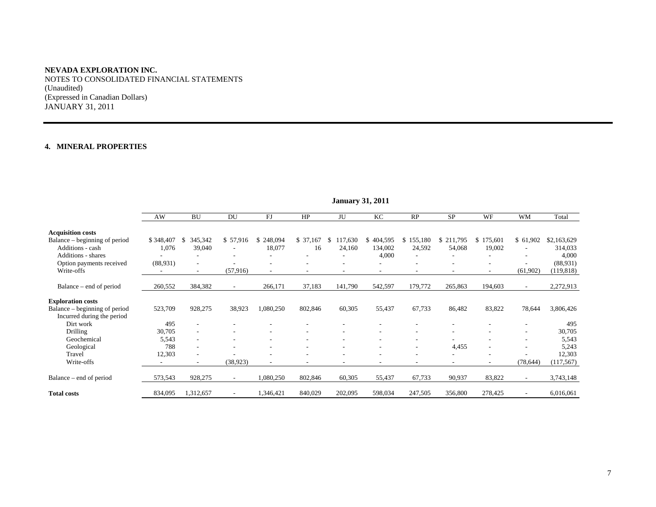NOTES TO CONSOLIDATED FINANCIAL STATEMENTS (Unaudited) (Expressed in Canadian Dollars) JANUARY 31, 2011

#### **4. MINERAL PROPERTIES**

|                                                             | AW        | <b>BU</b>                | DU                       | FJ            | HP        | JU            | KC            | RP                           | <b>SP</b> | WF                       | WM                       | Total       |
|-------------------------------------------------------------|-----------|--------------------------|--------------------------|---------------|-----------|---------------|---------------|------------------------------|-----------|--------------------------|--------------------------|-------------|
| <b>Acquisition costs</b>                                    |           |                          |                          |               |           |               |               |                              |           |                          |                          |             |
| Balance – beginning of period                               | \$348,407 | 345,342<br>S             | \$57,916                 | 248,094<br>\$ | \$ 37,167 | 117,630<br>\$ | 404,595<br>\$ | \$155,180                    | \$211,795 | 175,601<br>S.            | \$61,902                 | \$2,163,629 |
| Additions - cash                                            | 1,076     | 39,040                   | $\overline{\phantom{a}}$ | 18,077        | 16        | 24,160        | 134,002       | 24,592                       | 54,068    | 19,002                   |                          | 314,033     |
| Additions - shares                                          |           |                          | $\overline{\phantom{a}}$ |               |           |               | 4,000         | $\qquad \qquad \blacksquare$ |           |                          |                          | 4,000       |
| Option payments received                                    | (88,931)  | $\overline{\phantom{a}}$ |                          |               |           |               |               | ۰                            |           | ۰                        |                          | (88,931)    |
| Write-offs                                                  |           | $\overline{\phantom{a}}$ | (57, 916)                | ٠             |           |               |               | $\overline{\phantom{a}}$     |           | $\overline{\phantom{0}}$ | (61,902)                 | (119, 818)  |
| Balance – end of period                                     | 260,552   | 384,382                  | $\overline{\phantom{a}}$ | 266,171       | 37,183    | 141,790       | 542,597       | 179,772                      | 265,863   | 194,603                  | $\overline{\phantom{a}}$ | 2,272,913   |
| <b>Exploration costs</b>                                    |           |                          |                          |               |           |               |               |                              |           |                          |                          |             |
| Balance – beginning of period<br>Incurred during the period | 523,709   | 928,275                  | 38,923                   | 1,080,250     | 802,846   | 60,305        | 55,437        | 67,733                       | 86,482    | 83,822                   | 78,644                   | 3,806,426   |
| Dirt work                                                   | 495       |                          |                          |               |           |               |               |                              |           |                          |                          | 495         |
| Drilling                                                    | 30,705    |                          |                          |               |           |               |               |                              |           |                          |                          | 30,705      |
| Geochemical                                                 | 5,543     |                          |                          |               |           |               |               |                              |           |                          |                          | 5,543       |
| Geological                                                  | 788       |                          |                          |               |           |               |               |                              | 4,455     |                          |                          | 5,243       |
| Travel                                                      | 12,303    | ٠                        |                          |               |           |               |               |                              |           | ٠                        |                          | 12,303      |
| Write-offs                                                  |           |                          | (38, 923)                |               |           |               |               | ۰                            |           | ٠                        | (78, 644)                | (117, 567)  |
| Balance – end of period                                     | 573,543   | 928,275                  | $\overline{\phantom{a}}$ | 1,080,250     | 802,846   | 60,305        | 55,437        | 67,733                       | 90,937    | 83,822                   |                          | 3,743,148   |
| <b>Total costs</b>                                          | 834,095   | 1,312,657                |                          | 1,346,421     | 840,029   | 202,095       | 598,034       | 247,505                      | 356,800   | 278,425                  |                          | 6,016,061   |

## **January 31, 2011**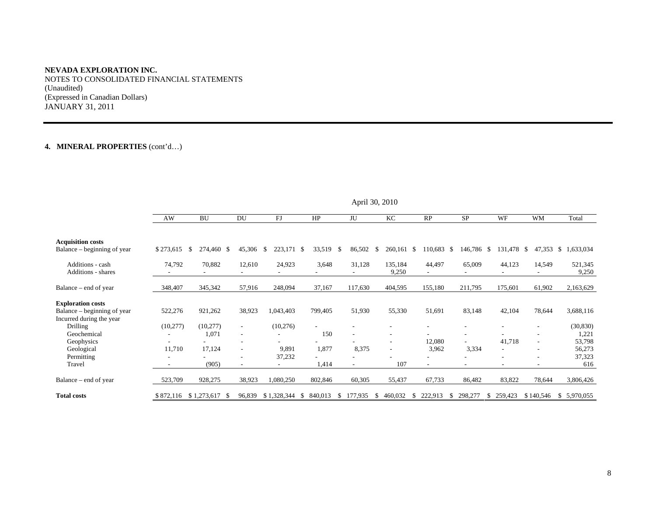NOTES TO CONSOLIDATED FINANCIAL STATEMENTS (Unaudited) (Expressed in Canadian Dollars) JANUARY 31, 2011

# **4. MINERAL PROPERTIES** (cont'd…)

|                                                                                     |           |                    |                          | л.            |                                |         |                                                      |                    |              |               |                |                    |
|-------------------------------------------------------------------------------------|-----------|--------------------|--------------------------|---------------|--------------------------------|---------|------------------------------------------------------|--------------------|--------------|---------------|----------------|--------------------|
|                                                                                     | AW        | BU                 | DU                       | FJ            | HP                             | JU      | KC                                                   | RP                 | <b>SP</b>    | WF            | <b>WM</b>      | Total              |
| <b>Acquisition costs</b><br>Balance – beginning of year                             | \$273,615 | 274,460 \$<br>- \$ | 45,306                   | 223,171<br>S. | 33,519<br>-\$<br><sup>\$</sup> | 86,502  | 260,161<br>-S                                        | 110,683 \$<br>- \$ | 146,786      | 131,478<br>-S | 47,353<br>- \$ | 1,633,034<br>-S    |
| Additions - cash<br>Additions - shares                                              | 74,792    | 70,882             | 12,610                   | 24,923        | 3,648                          | 31,128  | 135,184<br>9,250                                     | 44,497             | 65,009       | 44,123        | 14,549         | 521,345<br>9,250   |
| Balance – end of year                                                               | 348,407   | 345,342            | 57,916                   | 248,094       | 37,167                         | 117,630 | 404,595                                              | 155,180            | 211,795      | 175,601       | 61,902         | 2,163,629          |
| <b>Exploration costs</b><br>Balance – beginning of year<br>Incurred during the year | 522,276   | 921,262            | 38,923                   | 1,043,403     | 799,405                        | 51,930  | 55,330                                               | 51,691             | 83,148       | 42,104        | 78,644         | 3,688,116          |
| <b>Drilling</b><br>Geochemical                                                      | (10,277)  | (10,277)<br>1,071  | $\sim$                   | (10,276)      | 150                            |         | $\overline{\phantom{a}}$<br>٠                        |                    |              |               |                | (30, 830)<br>1,221 |
| Geophysics<br>Geological                                                            | 11,710    | 17,124             | $\overline{\phantom{a}}$ | 9,891         | 1,877                          | 8,375   | $\overline{\phantom{a}}$<br>$\overline{\phantom{a}}$ | 12,080<br>3,962    | 3,334        | 41,718        |                | 53,798<br>56,273   |
| Permitting<br>Travel                                                                |           | (905)              |                          | 37,232        | 1,414                          |         | 107                                                  |                    |              |               |                | 37,323<br>616      |
| Balance – end of year                                                               | 523,709   | 928,275            | 38,923                   | 1,080,250     | 802,846                        | 60,305  | 55,437                                               | 67,733             | 86,482       | 83,822        | 78,644         | 3,806,426          |
| <b>Total costs</b>                                                                  | \$872,116 | $$1,273,617$ \;    | 96,839                   | \$1,328,344   | 840,013<br>-S<br>S.            | 177,935 | 460,032                                              | 222,913            | 298,277<br>S | 259,423       | \$140,546      | 5,970,055<br>S.    |

April 30, 2010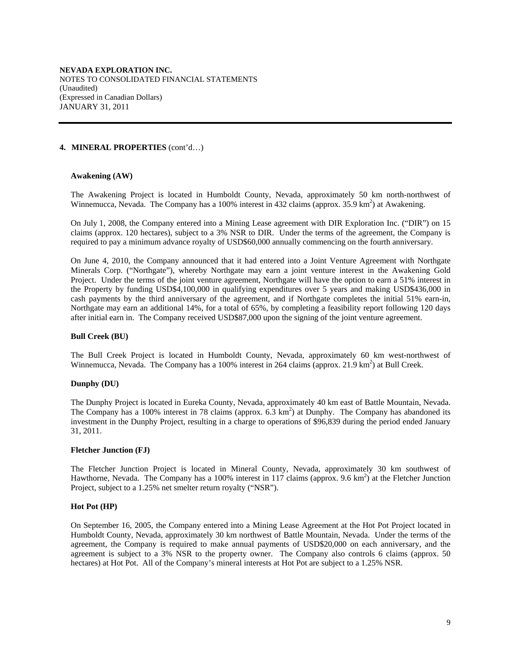## **4. MINERAL PROPERTIES** (cont'd…)

## **Awakening (AW)**

The Awakening Project is located in Humboldt County, Nevada, approximately 50 km north-northwest of Winnemucca, Nevada. The Company has a 100% interest in 432 claims (approx. 35.9 km<sup>2</sup>) at Awakening.

On July 1, 2008, the Company entered into a Mining Lease agreement with DIR Exploration Inc. ("DIR") on 15 claims (approx. 120 hectares), subject to a 3% NSR to DIR. Under the terms of the agreement, the Company is required to pay a minimum advance royalty of USD\$60,000 annually commencing on the fourth anniversary.

On June 4, 2010, the Company announced that it had entered into a Joint Venture Agreement with Northgate Minerals Corp. ("Northgate"), whereby Northgate may earn a joint venture interest in the Awakening Gold Project. Under the terms of the joint venture agreement, Northgate will have the option to earn a 51% interest in the Property by funding USD\$4,100,000 in qualifying expenditures over 5 years and making USD\$436,000 in cash payments by the third anniversary of the agreement, and if Northgate completes the initial 51% earn-in, Northgate may earn an additional 14%, for a total of 65%, by completing a feasibility report following 120 days after initial earn in. The Company received USD\$87,000 upon the signing of the joint venture agreement.

## **Bull Creek (BU)**

The Bull Creek Project is located in Humboldt County, Nevada, approximately 60 km west-northwest of Winnemucca, Nevada. The Company has a 100% interest in 264 claims (approx. 21.9 km<sup>2</sup>) at Bull Creek.

## **Dunphy (DU)**

The Dunphy Project is located in Eureka County, Nevada, approximately 40 km east of Battle Mountain, Nevada. The Company has a 100% interest in 78 claims (approx.  $6.\overline{3}$  km<sup>2</sup>) at Dunphy. The Company has abandoned its investment in the Dunphy Project, resulting in a charge to operations of \$96,839 during the period ended January 31, 2011.

## **Fletcher Junction (FJ)**

The Fletcher Junction Project is located in Mineral County, Nevada, approximately 30 km southwest of Hawthorne, Nevada. The Company has a 100% interest in 117 claims (approx. 9.6 km<sup>2</sup>) at the Fletcher Junction Project, subject to a 1.25% net smelter return royalty ("NSR").

## **Hot Pot (HP)**

On September 16, 2005, the Company entered into a Mining Lease Agreement at the Hot Pot Project located in Humboldt County, Nevada, approximately 30 km northwest of Battle Mountain, Nevada. Under the terms of the agreement, the Company is required to make annual payments of USD\$20,000 on each anniversary, and the agreement is subject to a 3% NSR to the property owner. The Company also controls 6 claims (approx. 50 hectares) at Hot Pot. All of the Company's mineral interests at Hot Pot are subject to a 1.25% NSR.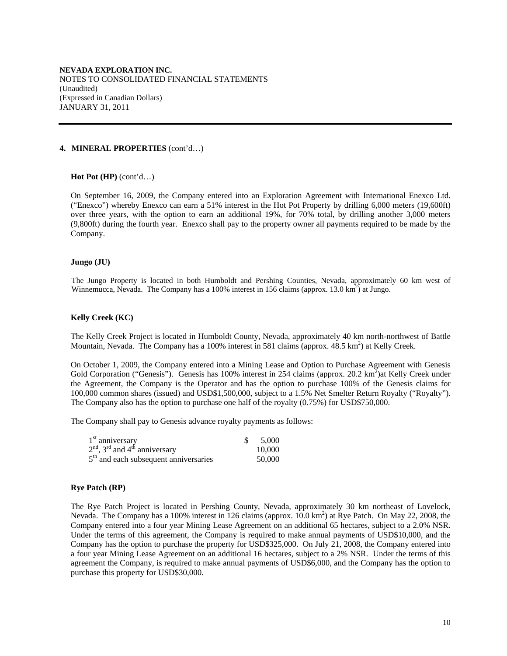#### **4. MINERAL PROPERTIES** (cont'd…)

#### **Hot Pot (HP)** (cont'd…)

On September 16, 2009, the Company entered into an Exploration Agreement with International Enexco Ltd. ("Enexco") whereby Enexco can earn a 51% interest in the Hot Pot Property by drilling 6,000 meters (19,600ft) over three years, with the option to earn an additional 19%, for 70% total, by drilling another 3,000 meters (9,800ft) during the fourth year. Enexco shall pay to the property owner all payments required to be made by the Company.

#### **Jungo (JU)**

The Jungo Property is located in both Humboldt and Pershing Counties, Nevada, approximately 60 km west of Winnemucca, Nevada. The Company has a 100% interest in 156 claims (approx. 13.0 km<sup>2</sup>) at Jungo.

#### **Kelly Creek (KC)**

The Kelly Creek Project is located in Humboldt County, Nevada, approximately 40 km north-northwest of Battle Mountain, Nevada. The Company has a 100% interest in 581 claims (approx. 48.5 km<sup>2</sup>) at Kelly Creek.

On October 1, 2009, the Company entered into a Mining Lease and Option to Purchase Agreement with Genesis Gold Corporation ("Genesis"). Genesis has 100% interest in 254 claims (approx. 20.2 km<sup>2</sup>) at Kelly Creek under the Agreement, the Company is the Operator and has the option to purchase 100% of the Genesis claims for 100,000 common shares (issued) and USD\$1,500,000, subject to a 1.5% Net Smelter Return Royalty ("Royalty"). The Company also has the option to purchase one half of the royalty (0.75%) for USD\$750,000.

The Company shall pay to Genesis advance royalty payments as follows:

| $1st$ anniversary                       | \$5,000 |
|-----------------------------------------|---------|
| $2nd$ , $3rd$ and $4th$ anniversary     | 10,000  |
| $5th$ and each subsequent anniversaries | 50,000  |

## **Rye Patch (RP)**

The Rye Patch Project is located in Pershing County, Nevada, approximately 30 km northeast of Lovelock, Nevada. The Company has a 100% interest in 126 claims (approx. 10.0 km<sup>2</sup>) at Rye Patch. On May 22, 2008, the Company entered into a four year Mining Lease Agreement on an additional 65 hectares, subject to a 2.0% NSR. Under the terms of this agreement, the Company is required to make annual payments of USD\$10,000, and the Company has the option to purchase the property for USD\$325,000. On July 21, 2008, the Company entered into a four year Mining Lease Agreement on an additional 16 hectares, subject to a 2% NSR. Under the terms of this agreement the Company, is required to make annual payments of USD\$6,000, and the Company has the option to purchase this property for USD\$30,000.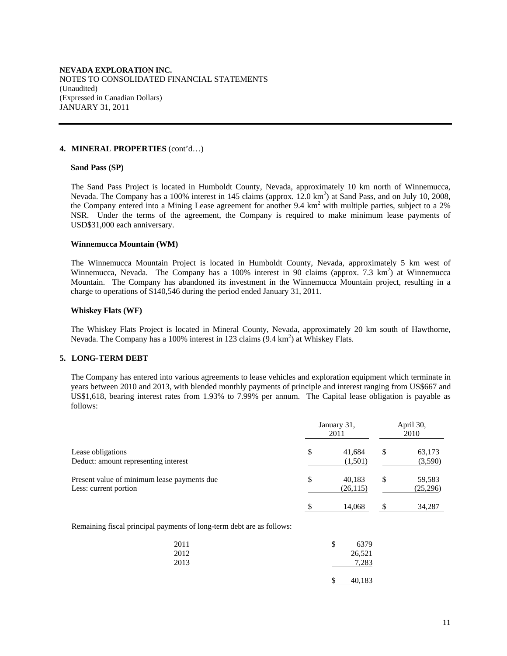#### **4. MINERAL PROPERTIES** (cont'd…)

#### **Sand Pass (SP)**

The Sand Pass Project is located in Humboldt County, Nevada, approximately 10 km north of Winnemucca, Nevada. The Company has a 100% interest in 145 claims (approx. 12.0 km<sup>2</sup>) at Sand Pass, and on July 10, 2008, the Company entered into a Mining Lease agreement for another 9.4 km<sup>2</sup> with multiple parties, subject to a 2% NSR. Under the terms of the agreement, the Company is required to make minimum lease payments of USD\$31,000 each anniversary.

#### **Winnemucca Mountain (WM)**

The Winnemucca Mountain Project is located in Humboldt County, Nevada, approximately 5 km west of Winnemucca, Nevada. The Company has a 100% interest in 90 claims (approx. 7.3  $km^2$ ) at Winnemucca Mountain. The Company has abandoned its investment in the Winnemucca Mountain project, resulting in a charge to operations of \$140,546 during the period ended January 31, 2011.

#### **Whiskey Flats (WF)**

The Whiskey Flats Project is located in Mineral County, Nevada, approximately 20 km south of Hawthorne, Nevada. The Company has a 100% interest in 123 claims (9.4 km<sup>2</sup>) at Whiskey Flats.

## **5. LONG-TERM DEBT**

 The Company has entered into various agreements to lease vehicles and exploration equipment which terminate in years between 2010 and 2013, with blended monthly payments of principle and interest ranging from US\$667 and US\$1,618, bearing interest rates from 1.93% to 7.99% per annum. The Capital lease obligation is payable as follows:

|                                                                      | January 31, | April 30,<br>2010   |    |                    |
|----------------------------------------------------------------------|-------------|---------------------|----|--------------------|
| Lease obligations<br>Deduct: amount representing interest            | \$          | 41,684<br>(1,501)   | \$ | 63,173<br>(3,590)  |
| Present value of minimum lease payments due<br>Less: current portion | \$          | 40.183<br>(26, 115) | \$ | 59,583<br>(25,296) |
|                                                                      | \$          | 14.068              | \$ | 34.287             |

Remaining fiscal principal payments of long-term debt are as follows:

| 2011 | S | 6379   |
|------|---|--------|
| 2012 |   | 26,521 |
| 2013 |   | 7,283  |
|      |   | 40,183 |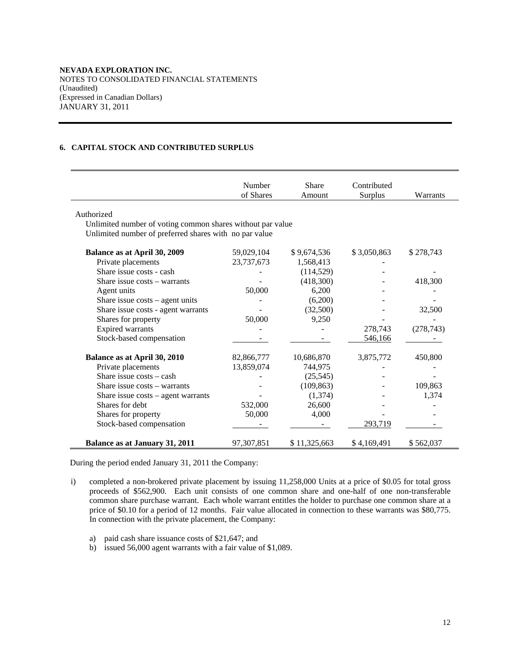## **6. CAPITAL STOCK AND CONTRIBUTED SURPLUS**

|                                                            | Number<br>of Shares | Share<br>Amount | Contributed<br>Surplus | Warrants   |
|------------------------------------------------------------|---------------------|-----------------|------------------------|------------|
| Authorized                                                 |                     |                 |                        |            |
| Unlimited number of voting common shares without par value |                     |                 |                        |            |
| Unlimited number of preferred shares with no par value     |                     |                 |                        |            |
| <b>Balance as at April 30, 2009</b>                        | 59,029,104          | \$9,674,536     | \$3,050,863            | \$278,743  |
| Private placements                                         | 23,737,673          | 1,568,413       |                        |            |
| Share issue costs - cash                                   |                     | (114, 529)      |                        |            |
| Share issue costs - warrants                               |                     | (418,300)       |                        | 418,300    |
| Agent units                                                | 50,000              | 6,200           |                        |            |
| Share issue $costs - agent$ units                          |                     | (6,200)         |                        |            |
| Share issue costs - agent warrants                         |                     | (32,500)        |                        | 32,500     |
| Shares for property                                        | 50,000              | 9,250           |                        |            |
| <b>Expired warrants</b>                                    |                     |                 | 278,743                | (278, 743) |
| Stock-based compensation                                   |                     |                 | 546,166                |            |
| Balance as at April 30, 2010                               | 82,866,777          | 10,686,870      | 3,875,772              | 450,800    |
| Private placements                                         | 13,859,074          | 744,975         |                        |            |
| Share issue costs – cash                                   |                     | (25, 545)       |                        |            |
| Share issue $costs - warrants$                             |                     | (109, 863)      |                        | 109,863    |
| Share issue costs - agent warrants                         |                     | (1,374)         |                        | 1.374      |
| Shares for debt                                            | 532,000             | 26,600          |                        |            |
| Shares for property                                        | 50,000              | 4,000           |                        |            |
| Stock-based compensation                                   |                     |                 | 293,719                |            |
| Balance as at January 31, 2011                             | 97, 307, 851        | \$11,325,663    | \$4,169,491            | \$562,037  |

During the period ended January 31, 2011 the Company:

- i) completed a non-brokered private placement by issuing 11,258,000 Units at a price of \$0.05 for total gross proceeds of \$562,900. Each unit consists of one common share and one-half of one non-transferable common share purchase warrant. Each whole warrant entitles the holder to purchase one common share at a price of \$0.10 for a period of 12 months. Fair value allocated in connection to these warrants was \$80,775. In connection with the private placement, the Company:
	- a) paid cash share issuance costs of \$21,647; and
	- b) issued 56,000 agent warrants with a fair value of \$1,089.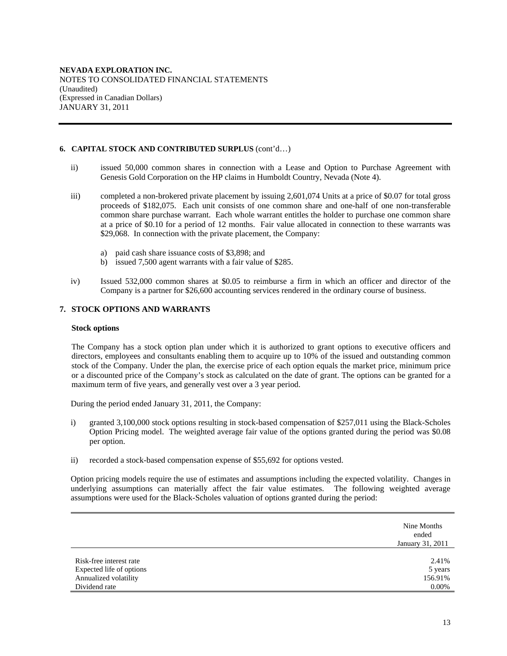## **6. CAPITAL STOCK AND CONTRIBUTED SURPLUS** (cont'd…)

- ii) issued 50,000 common shares in connection with a Lease and Option to Purchase Agreement with Genesis Gold Corporation on the HP claims in Humboldt Country, Nevada (Note 4).
- iii) completed a non-brokered private placement by issuing 2,601,074 Units at a price of \$0.07 for total gross proceeds of \$182,075. Each unit consists of one common share and one-half of one non-transferable common share purchase warrant. Each whole warrant entitles the holder to purchase one common share at a price of \$0.10 for a period of 12 months. Fair value allocated in connection to these warrants was \$29,068. In connection with the private placement, the Company:
	- a) paid cash share issuance costs of \$3,898; and
	- b) issued 7,500 agent warrants with a fair value of \$285.
- iv) Issued 532,000 common shares at \$0.05 to reimburse a firm in which an officer and director of the Company is a partner for \$26,600 accounting services rendered in the ordinary course of business.

## **7. STOCK OPTIONS AND WARRANTS**

#### **Stock options**

The Company has a stock option plan under which it is authorized to grant options to executive officers and directors, employees and consultants enabling them to acquire up to 10% of the issued and outstanding common stock of the Company. Under the plan, the exercise price of each option equals the market price, minimum price or a discounted price of the Company's stock as calculated on the date of grant. The options can be granted for a maximum term of five years, and generally vest over a 3 year period.

During the period ended January 31, 2011, the Company:

- i) granted 3,100,000 stock options resulting in stock-based compensation of \$257,011 using the Black-Scholes Option Pricing model. The weighted average fair value of the options granted during the period was \$0.08 per option.
- ii) recorded a stock-based compensation expense of \$55,692 for options vested.

Option pricing models require the use of estimates and assumptions including the expected volatility. Changes in underlying assumptions can materially affect the fair value estimates. The following weighted average assumptions were used for the Black-Scholes valuation of options granted during the period:

|                          | Nine Months<br>ended<br>January 31, 2011 |
|--------------------------|------------------------------------------|
| Risk-free interest rate  | 2.41%                                    |
| Expected life of options | 5 years                                  |
| Annualized volatility    | 156.91%                                  |
| Dividend rate            | $0.00\%$                                 |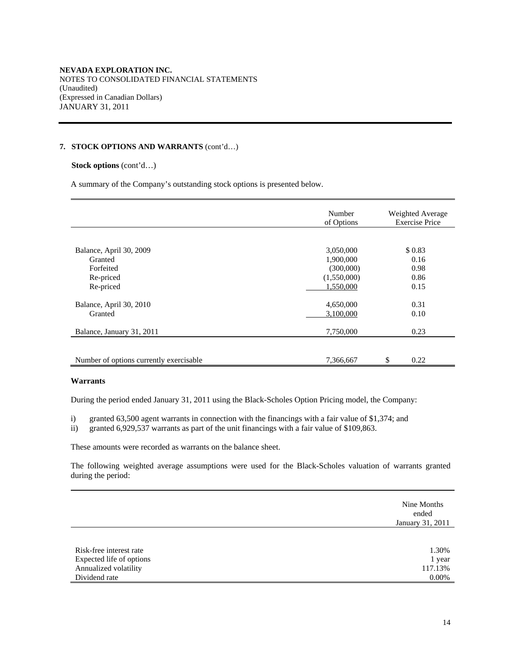## **7. STOCK OPTIONS AND WARRANTS** (cont'd…)

## **Stock options** (cont'd…)

A summary of the Company's outstanding stock options is presented below.

|                                         | Number<br>of Options | Weighted Average<br><b>Exercise Price</b> |
|-----------------------------------------|----------------------|-------------------------------------------|
|                                         |                      |                                           |
| Balance, April 30, 2009                 | 3,050,000            | \$0.83                                    |
| Granted                                 | 1,900,000            | 0.16                                      |
| Forfeited                               | (300,000)            | 0.98                                      |
| Re-priced                               | (1,550,000)          | 0.86                                      |
| Re-priced                               | 1,550,000            | 0.15                                      |
|                                         |                      |                                           |
| Balance, April 30, 2010                 | 4,650,000            | 0.31                                      |
| Granted                                 | 3,100,000            | 0.10                                      |
|                                         |                      |                                           |
| Balance, January 31, 2011               | 7,750,000            | 0.23                                      |
|                                         |                      |                                           |
| Number of options currently exercisable | 7,366,667            | \$<br>0.22                                |

## **Warrants**

During the period ended January 31, 2011 using the Black-Scholes Option Pricing model, the Company:

i) granted 63,500 agent warrants in connection with the financings with a fair value of \$1,374; and

ii) granted 6,929,537 warrants as part of the unit financings with a fair value of \$109,863.

These amounts were recorded as warrants on the balance sheet.

The following weighted average assumptions were used for the Black-Scholes valuation of warrants granted during the period:

|                          | Nine Months<br>ended<br>January 31, 2011 |
|--------------------------|------------------------------------------|
| Risk-free interest rate  | 1.30%                                    |
| Expected life of options | 1 year                                   |
| Annualized volatility    | 117.13%                                  |
| Dividend rate            | $0.00\%$                                 |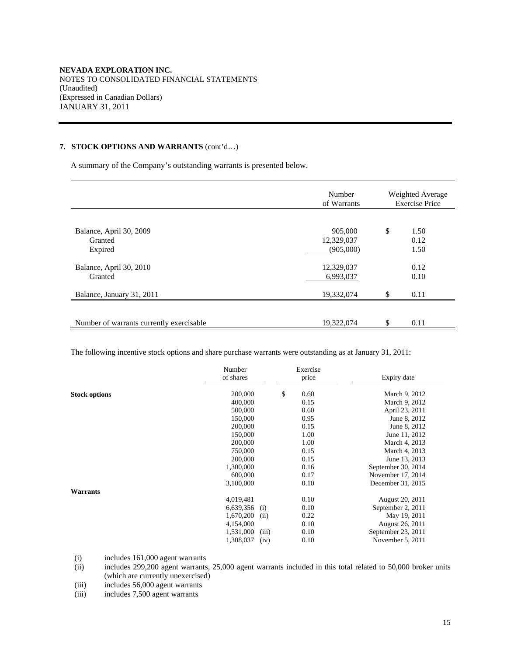## **7. STOCK OPTIONS AND WARRANTS** (cont'd…)

A summary of the Company's outstanding warrants is presented below.

|                                               | Number<br>of Warrants              | Weighted Average<br><b>Exercise Price</b> |                      |  |
|-----------------------------------------------|------------------------------------|-------------------------------------------|----------------------|--|
| Balance, April 30, 2009<br>Granted<br>Expired | 905,000<br>12,329,037<br>(905,000) | \$                                        | 1.50<br>0.12<br>1.50 |  |
| Balance, April 30, 2010<br>Granted            | 12,329,037<br>6,993,037            |                                           | 0.12<br>0.10         |  |
| Balance, January 31, 2011                     | 19,332,074                         | \$                                        | 0.11                 |  |
| Number of warrants currently exercisable      | 19,322,074                         | \$                                        | 0.11                 |  |

The following incentive stock options and share purchase warrants were outstanding as at January 31, 2011:

|                      | Number<br>of shares | Exercise<br>price | Expiry date        |
|----------------------|---------------------|-------------------|--------------------|
| <b>Stock options</b> | 200,000             | \$<br>0.60        | March 9, 2012      |
|                      | 400,000             | 0.15              | March 9, 2012      |
|                      | 500,000             | 0.60              | April 23, 2011     |
|                      | 150,000             | 0.95              | June 8, 2012       |
|                      | 200,000             | 0.15              | June 8, 2012       |
|                      | 150,000             | 1.00              | June 11, 2012      |
|                      | 200,000             | 1.00              | March 4, 2013      |
|                      | 750,000             | 0.15              | March 4, 2013      |
|                      | 200,000             | 0.15              | June 13, 2013      |
|                      | 1,300,000           | 0.16              | September 30, 2014 |
|                      | 600,000             | 0.17              | November 17, 2014  |
|                      | 3,100,000           | 0.10              | December 31, 2015  |
| Warrants             |                     |                   |                    |
|                      | 4,019,481           | 0.10              | August 20, 2011    |
|                      | (i)<br>6,639,356    | 0.10              | September 2, 2011  |
|                      | 1,670,200<br>(ii)   | 0.22              | May 19, 2011       |
|                      | 4,154,000           | 0.10              | August 26, 2011    |
|                      | (iii)<br>1,531,000  | 0.10              | September 23, 2011 |
|                      | 1,308,037<br>(iv)   | 0.10              | November 5, 2011   |

(i) includes 161,000 agent warrants

(ii) includes 299,200 agent warrants, 25,000 agent warrants included in this total related to 50,000 broker units (which are currently unexercised)

(iii) includes 56,000 agent warrants<br>(iii) includes 7,500 agent warrants

includes  $7,500$  agent warrants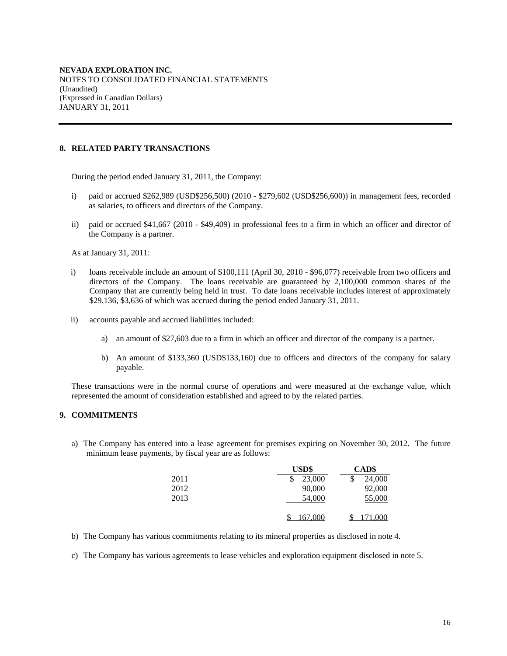## **8. RELATED PARTY TRANSACTIONS**

During the period ended January 31, 2011, the Company:

- i) paid or accrued \$262,989 (USD\$256,500) (2010 \$279,602 (USD\$256,600)) in management fees, recorded as salaries, to officers and directors of the Company.
- ii) paid or accrued \$41,667 (2010 \$49,409) in professional fees to a firm in which an officer and director of the Company is a partner.

As at January 31, 2011:

- i) loans receivable include an amount of \$100,111 (April 30, 2010 \$96,077) receivable from two officers and directors of the Company. The loans receivable are guaranteed by 2,100,000 common shares of the Company that are currently being held in trust. To date loans receivable includes interest of approximately \$29,136, \$3,636 of which was accrued during the period ended January 31, 2011.
- ii) accounts payable and accrued liabilities included:
	- a) an amount of \$27,603 due to a firm in which an officer and director of the company is a partner.
	- b) An amount of \$133,360 (USD\$133,160) due to officers and directors of the company for salary payable.

These transactions were in the normal course of operations and were measured at the exchange value, which represented the amount of consideration established and agreed to by the related parties.

## **9. COMMITMENTS**

a) The Company has entered into a lease agreement for premises expiring on November 30, 2012. The future minimum lease payments, by fiscal year are as follows:

|      | <b>USD\$</b> | CAD\$   |
|------|--------------|---------|
| 2011 | 23,000<br>\$ | 24,000  |
| 2012 | 90,000       | 92,000  |
| 2013 | 54,000       | 55,000  |
|      |              |         |
|      | 167,000      | 171,000 |

- b) The Company has various commitments relating to its mineral properties as disclosed in note 4.
- c) The Company has various agreements to lease vehicles and exploration equipment disclosed in note 5.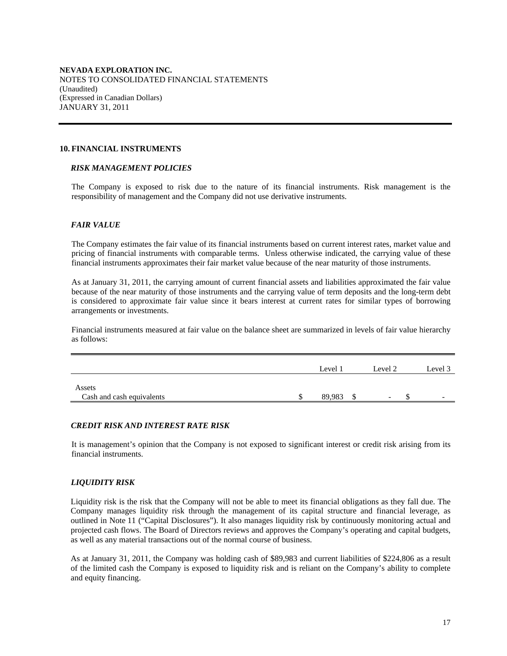#### **10. FINANCIAL INSTRUMENTS**

#### *RISK MANAGEMENT POLICIES*

The Company is exposed to risk due to the nature of its financial instruments. Risk management is the responsibility of management and the Company did not use derivative instruments.

## *FAIR VALUE*

The Company estimates the fair value of its financial instruments based on current interest rates, market value and pricing of financial instruments with comparable terms. Unless otherwise indicated, the carrying value of these financial instruments approximates their fair market value because of the near maturity of those instruments.

As at January 31, 2011, the carrying amount of current financial assets and liabilities approximated the fair value because of the near maturity of those instruments and the carrying value of term deposits and the long-term debt is considered to approximate fair value since it bears interest at current rates for similar types of borrowing arrangements or investments.

Financial instruments measured at fair value on the balance sheet are summarized in levels of fair value hierarchy as follows:

|                           | Level 1 | Level 2 | Level 3                  |
|---------------------------|---------|---------|--------------------------|
| Assets                    |         |         |                          |
| Cash and cash equivalents | 89.983  | -       | $\overline{\phantom{a}}$ |

## *CREDIT RISK AND INTEREST RATE RISK*

It is management's opinion that the Company is not exposed to significant interest or credit risk arising from its financial instruments.

## *LIQUIDITY RISK*

Liquidity risk is the risk that the Company will not be able to meet its financial obligations as they fall due. The Company manages liquidity risk through the management of its capital structure and financial leverage, as outlined in Note 11 ("Capital Disclosures"). It also manages liquidity risk by continuously monitoring actual and projected cash flows. The Board of Directors reviews and approves the Company's operating and capital budgets, as well as any material transactions out of the normal course of business.

As at January 31, 2011, the Company was holding cash of \$89,983 and current liabilities of \$224,806 as a result of the limited cash the Company is exposed to liquidity risk and is reliant on the Company's ability to complete and equity financing.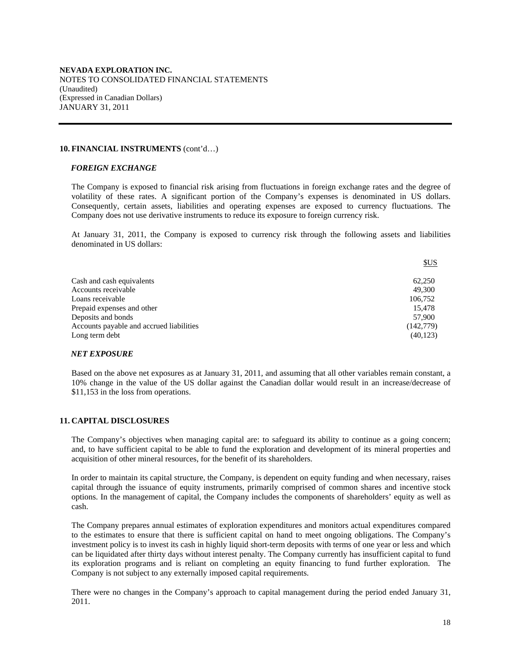## **10. FINANCIAL INSTRUMENTS** (cont'd…)

#### *FOREIGN EXCHANGE*

The Company is exposed to financial risk arising from fluctuations in foreign exchange rates and the degree of volatility of these rates. A significant portion of the Company's expenses is denominated in US dollars. Consequently, certain assets, liabilities and operating expenses are exposed to currency fluctuations. The Company does not use derivative instruments to reduce its exposure to foreign currency risk.

At January 31, 2011, the Company is exposed to currency risk through the following assets and liabilities denominated in US dollars:

|                                          | SUS       |
|------------------------------------------|-----------|
| Cash and cash equivalents                | 62.250    |
| Accounts receivable                      | 49,300    |
| Loans receivable                         | 106,752   |
| Prepaid expenses and other               | 15.478    |
| Deposits and bonds                       | 57,900    |
| Accounts payable and accrued liabilities | (142,779) |
| Long term debt                           | (40, 123) |

#### *NET EXPOSURE*

Based on the above net exposures as at January 31, 2011, and assuming that all other variables remain constant, a 10% change in the value of the US dollar against the Canadian dollar would result in an increase/decrease of \$11,153 in the loss from operations.

## **11. CAPITAL DISCLOSURES**

The Company's objectives when managing capital are: to safeguard its ability to continue as a going concern; and, to have sufficient capital to be able to fund the exploration and development of its mineral properties and acquisition of other mineral resources, for the benefit of its shareholders.

In order to maintain its capital structure, the Company, is dependent on equity funding and when necessary, raises capital through the issuance of equity instruments, primarily comprised of common shares and incentive stock options. In the management of capital, the Company includes the components of shareholders' equity as well as cash.

The Company prepares annual estimates of exploration expenditures and monitors actual expenditures compared to the estimates to ensure that there is sufficient capital on hand to meet ongoing obligations. The Company's investment policy is to invest its cash in highly liquid short-term deposits with terms of one year or less and which can be liquidated after thirty days without interest penalty. The Company currently has insufficient capital to fund its exploration programs and is reliant on completing an equity financing to fund further exploration. The Company is not subject to any externally imposed capital requirements.

There were no changes in the Company's approach to capital management during the period ended January 31, 2011.